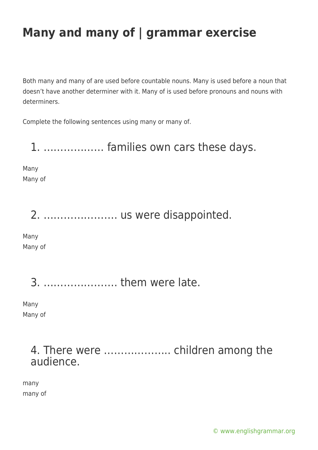Both many and many of are used before countable nouns. Many is used before a noun that doesn't have another determiner with it. Many of is used before pronouns and nouns with determiners.

Complete the following sentences using many or many of.

### 1. ……………… families own cars these days.

Many Many of

### 2. …………………. us were disappointed.

Many Many of

3. …………………. them were late.

Many Many of

### 4. There were ……………….. children among the audience.

many many of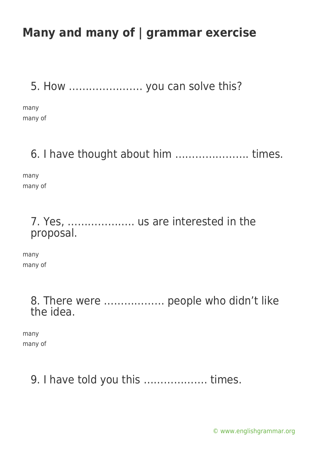5. How …………………. you can solve this?

many many of

### 6. I have thought about him …………………. times.

many many of

#### 7. Yes, ……………….. us are interested in the proposal.

many many of

> 8. There were ……………… people who didn't like the idea.

many many of

## 9. I have told you this ………………. times.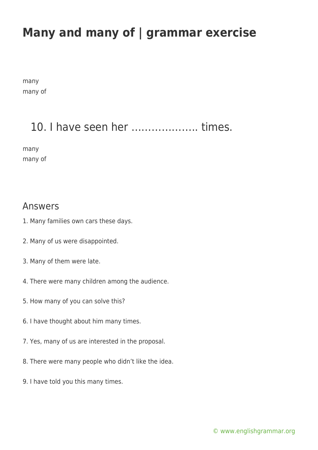many many of

### 10. I have seen her ……………….. times.

many many of

#### Answers

- 1. Many families own cars these days.
- 2. Many of us were disappointed.
- 3. Many of them were late.
- 4. There were many children among the audience.
- 5. How many of you can solve this?
- 6. I have thought about him many times.
- 7. Yes, many of us are interested in the proposal.
- 8. There were many people who didn't like the idea.
- 9. I have told you this many times.